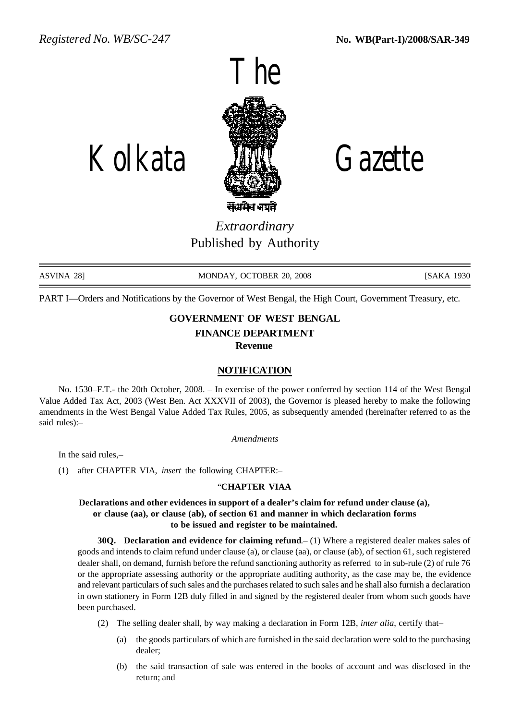

Kolkata Gazette

*Extraordinary* Published by Authority

ASVINA 28] MONDAY, OCTOBER 20, 2008 [SAKA 1930

PART I—Orders and Notifications by the Governor of West Bengal, the High Court, Government Treasury, etc.

# **GOVERNMENT OF WEST BENGAL FINANCE DEPARTMENT Revenue**

# **NOTIFICATION**

No. 1530–F.T.- the 20th October, 2008. – In exercise of the power conferred by section 114 of the West Bengal Value Added Tax Act, 2003 (West Ben. Act XXXVII of 2003), the Governor is pleased hereby to make the following amendments in the West Bengal Value Added Tax Rules, 2005, as subsequently amended (hereinafter referred to as the said rules):–

*Amendments*

In the said rules,–

(1) after CHAPTER VIA, *insert* the following CHAPTER:–

# "**CHAPTER VIAA**

**Declarations and other evidences in support of a dealer's claim for refund under clause (a), or clause (aa), or clause (ab), of section 61 and manner in which declaration forms to be issued and register to be maintained.**

**30Q. Declaration and evidence for claiming refund**.– (1) Where a registered dealer makes sales of goods and intends to claim refund under clause (a), or clause (aa), or clause (ab), of section 61, such registered dealer shall, on demand, furnish before the refund sanctioning authority as referred to in sub-rule (2) of rule 76 or the appropriate assessing authority or the appropriate auditing authority, as the case may be, the evidence and relevant particulars of such sales and the purchases related to such sales and he shall also furnish a declaration in own stationery in Form 12B duly filled in and signed by the registered dealer from whom such goods have been purchased.

- (2) The selling dealer shall, by way making a declaration in Form 12B, *inter alia*, certify that–
	- (a) the goods particulars of which are furnished in the said declaration were sold to the purchasing dealer;
	- (b) the said transaction of sale was entered in the books of account and was disclosed in the return; and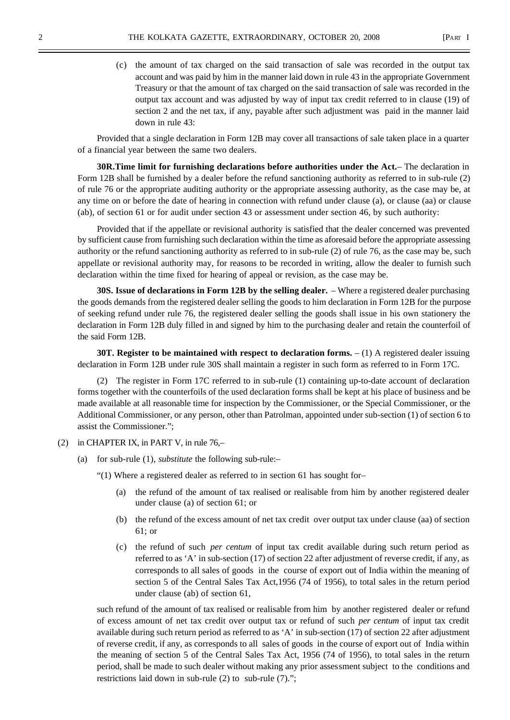(c) the amount of tax charged on the said transaction of sale was recorded in the output tax account and was paid by him in the manner laid down in rule 43 in the appropriate Government Treasury or that the amount of tax charged on the said transaction of sale was recorded in the output tax account and was adjusted by way of input tax credit referred to in clause (19) of section 2 and the net tax, if any, payable after such adjustment was paid in the manner laid down in rule 43:

Provided that a single declaration in Form 12B may cover all transactions of sale taken place in a quarter of a financial year between the same two dealers.

**30R.Time limit for furnishing declarations before authorities under the Act.**– The declaration in Form 12B shall be furnished by a dealer before the refund sanctioning authority as referred to in sub-rule (2) of rule 76 or the appropriate auditing authority or the appropriate assessing authority, as the case may be, at any time on or before the date of hearing in connection with refund under clause (a), or clause (aa) or clause (ab), of section 61 or for audit under section 43 or assessment under section 46, by such authority:

Provided that if the appellate or revisional authority is satisfied that the dealer concerned was prevented by sufficient cause from furnishing such declaration within the time as aforesaid before the appropriate assessing authority or the refund sanctioning authority as referred to in sub-rule (2) of rule 76, as the case may be, such appellate or revisional authority may, for reasons to be recorded in writing, allow the dealer to furnish such declaration within the time fixed for hearing of appeal or revision, as the case may be.

**30S. Issue of declarations in Form 12B by the selling dealer.** – Where a registered dealer purchasing the goods demands from the registered dealer selling the goods to him declaration in Form 12B for the purpose of seeking refund under rule 76, the registered dealer selling the goods shall issue in his own stationery the declaration in Form 12B duly filled in and signed by him to the purchasing dealer and retain the counterfoil of the said Form 12B.

**30T. Register to be maintained with respect to declaration forms.** – (1) A registered dealer issuing declaration in Form 12B under rule 30S shall maintain a register in such form as referred to in Form 17C.

(2) The register in Form 17C referred to in sub-rule (1) containing up-to-date account of declaration forms together with the counterfoils of the used declaration forms shall be kept at his place of business and be made available at all reasonable time for inspection by the Commissioner, or the Special Commissioner, or the Additional Commissioner, or any person, other than Patrolman, appointed under sub-section (1) of section 6 to assist the Commissioner.";

### (2) in CHAPTER IX, in PART V, in rule 76,–

(a) for sub-rule (1), *substitute* the following sub-rule:–

"(1) Where a registered dealer as referred to in section 61 has sought for–

- (a) the refund of the amount of tax realised or realisable from him by another registered dealer under clause (a) of section 61; or
- (b) the refund of the excess amount of net tax credit over output tax under clause (aa) of section 61; or
- (c) the refund of such *per centum* of input tax credit available during such return period as referred to as 'A' in sub-section (17) of section 22 after adjustment of reverse credit, if any, as corresponds to all sales of goods in the course of export out of India within the meaning of section 5 of the Central Sales Tax Act,1956 (74 of 1956), to total sales in the return period under clause (ab) of section 61,

such refund of the amount of tax realised or realisable from him by another registered dealer or refund of excess amount of net tax credit over output tax or refund of such *per centum* of input tax credit available during such return period as referred to as 'A' in sub-section (17) of section 22 after adjustment of reverse credit, if any, as corresponds to all sales of goods in the course of export out of India within the meaning of section 5 of the Central Sales Tax Act, 1956 (74 of 1956), to total sales in the return period, shall be made to such dealer without making any prior assessment subject to the conditions and restrictions laid down in sub-rule (2) to sub-rule (7).";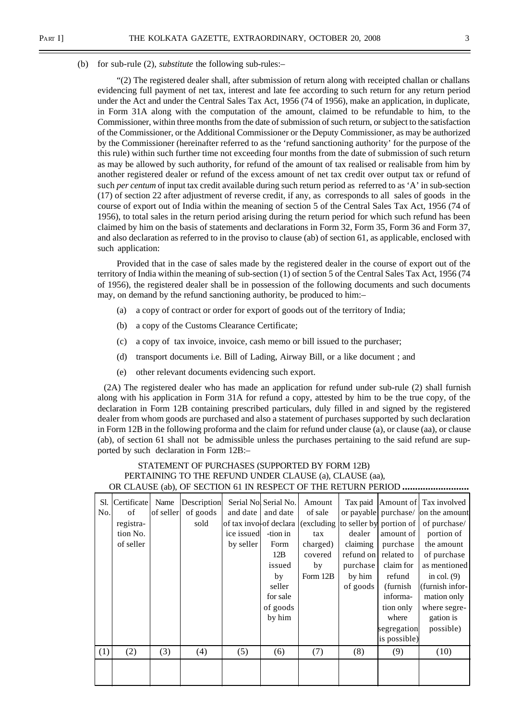"(2) The registered dealer shall, after submission of return along with receipted challan or challans evidencing full payment of net tax, interest and late fee according to such return for any return period under the Act and under the Central Sales Tax Act, 1956 (74 of 1956), make an application, in duplicate, in Form 31A along with the computation of the amount, claimed to be refundable to him, to the Commissioner, within three months from the date of submission of such return, or subject to the satisfaction of the Commissioner, or the Additional Commissioner or the Deputy Commissioner, as may be authorized by the Commissioner (hereinafter referred to as the 'refund sanctioning authority' for the purpose of the this rule) within such further time not exceeding four months from the date of submission of such return as may be allowed by such authority, for refund of the amount of tax realised or realisable from him by another registered dealer or refund of the excess amount of net tax credit over output tax or refund of such *per centum* of input tax credit available during such return period as referred to as 'A' in sub-section (17) of section 22 after adjustment of reverse credit, if any, as corresponds to all sales of goods in the course of export out of India within the meaning of section 5 of the Central Sales Tax Act, 1956 (74 of 1956), to total sales in the return period arising during the return period for which such refund has been claimed by him on the basis of statements and declarations in Form 32, Form 35, Form 36 and Form 37, and also declaration as referred to in the proviso to clause (ab) of section 61, as applicable, enclosed with such application:

Provided that in the case of sales made by the registered dealer in the course of export out of the territory of India within the meaning of sub-section (1) of section 5 of the Central Sales Tax Act, 1956 (74 of 1956), the registered dealer shall be in possession of the following documents and such documents may, on demand by the refund sanctioning authority, be produced to him:–

- (a) a copy of contract or order for export of goods out of the territory of India;
- (b) a copy of the Customs Clearance Certificate;
- (c) a copy of tax invoice, invoice, cash memo or bill issued to the purchaser;
- (d) transport documents i.e. Bill of Lading, Airway Bill, or a like document ; and
- (e) other relevant documents evidencing such export.

 (2A) The registered dealer who has made an application for refund under sub-rule (2) shall furnish along with his application in Form 31A for refund a copy, attested by him to be the true copy, of the declaration in Form 12B containing prescribed particulars, duly filled in and signed by the registered dealer from whom goods are purchased and also a statement of purchases supported by such declaration in Form 12B in the following proforma and the claim for refund under clause (a), or clause (aa), or clause (ab), of section 61 shall not be admissible unless the purchases pertaining to the said refund are supported by such declaration in Form 12B:–

# STATEMENT OF PURCHASES (SUPPORTED BY FORM 12B) PERTAINING TO THE REFUND UNDER CLAUSE (a), CLAUSE (aa), OR CLAUSE (ab), OF SECTION 61 IN RESPECT OF THE RETURN PERIOD **..........................**

| Sl. | Certificate | Name      | Description |            | Serial Nol Serial No. | Amount   | Tax paid |                                                           | Amount of Tax involved             |
|-----|-------------|-----------|-------------|------------|-----------------------|----------|----------|-----------------------------------------------------------|------------------------------------|
| No. | of          | of seller | of goods    | and date   | and date              | of sale  |          |                                                           | or payable purchase/ on the amount |
|     | registra-   |           | sold        |            |                       |          |          | of tax involof declara (excluding to seller by portion of | of purchase/                       |
|     | tion No.    |           |             | ice issued | -tion in              | tax      | dealer   | amount of                                                 | portion of                         |
|     | of seller   |           |             | by seller  | Form                  | charged) | claiming | purchase                                                  | the amount                         |
|     |             |           |             |            | 12B                   | covered  |          | refund on related to                                      | of purchase                        |
|     |             |           |             |            | issued                | by       | purchase | claim for                                                 | as mentioned                       |
|     |             |           |             |            | by                    | Form 12B | by him   | refund                                                    | in col. $(9)$                      |
|     |             |           |             |            | seller                |          | of goods | (furnish)                                                 | (furnish infor-                    |
|     |             |           |             |            | for sale              |          |          | informa-                                                  | mation only                        |
|     |             |           |             |            | of goods              |          |          | tion only                                                 | where segre-                       |
|     |             |           |             |            | by him                |          |          | where                                                     | gation is                          |
|     |             |           |             |            |                       |          |          | segregation                                               | possible)                          |
|     |             |           |             |            |                       |          |          | is possible)                                              |                                    |
| (1) | (2)         | (3)       | (4)         | (5)        | (6)                   | (7)      | (8)      | (9)                                                       | (10)                               |
|     |             |           |             |            |                       |          |          |                                                           |                                    |
|     |             |           |             |            |                       |          |          |                                                           |                                    |
|     |             |           |             |            |                       |          |          |                                                           |                                    |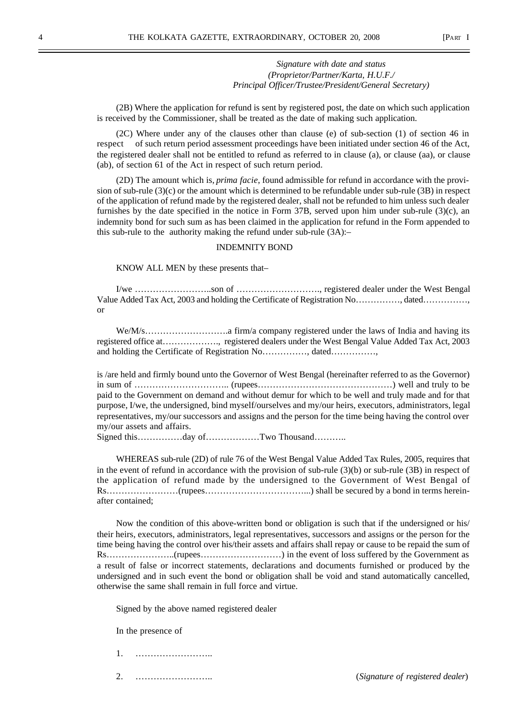## *Signature with date and status (Proprietor/Partner/Karta, H.U.F./ Principal Officer/Trustee/President/General Secretary)*

(2B) Where the application for refund is sent by registered post, the date on which such application is received by the Commissioner, shall be treated as the date of making such application.

(2C) Where under any of the clauses other than clause (e) of sub-section (1) of section 46 in respect of such return period assessment proceedings have been initiated under section 46 of the Act, the registered dealer shall not be entitled to refund as referred to in clause (a), or clause (aa), or clause (ab), of section 61 of the Act in respect of such return period.

(2D) The amount which is, *prima facie*, found admissible for refund in accordance with the provision of sub-rule (3)(c) or the amount which is determined to be refundable under sub-rule (3B) in respect of the application of refund made by the registered dealer, shall not be refunded to him unless such dealer furnishes by the date specified in the notice in Form 37B, served upon him under sub-rule (3)(c), an indemnity bond for such sum as has been claimed in the application for refund in the Form appended to this sub-rule to the authority making the refund under sub-rule (3A):–

#### INDEMNITY BOND

KNOW ALL MEN by these presents that–

I/we ……………………..son of ………………………., registered dealer under the West Bengal Value Added Tax Act, 2003 and holding the Certificate of Registration No……………, dated……………, or

We/M/s……………………….a firm/a company registered under the laws of India and having its registered office at………………., registered dealers under the West Bengal Value Added Tax Act, 2003 and holding the Certificate of Registration No……………, dated……………,

is /are held and firmly bound unto the Governor of West Bengal (hereinafter referred to as the Governor) in sum of ………………………….. (rupees………………………………………) well and truly to be paid to the Government on demand and without demur for which to be well and truly made and for that purpose, I/we, the undersigned, bind myself/ourselves and my/our heirs, executors, administrators, legal representatives, my/our successors and assigns and the person for the time being having the control over my/our assets and affairs.

Signed this……………day of………………Two Thousand………..

WHEREAS sub-rule (2D) of rule 76 of the West Bengal Value Added Tax Rules, 2005, requires that in the event of refund in accordance with the provision of sub-rule (3)(b) or sub-rule (3B) in respect of the application of refund made by the undersigned to the Government of West Bengal of Rs……………………(rupees……………………………...) shall be secured by a bond in terms hereinafter contained;

Now the condition of this above-written bond or obligation is such that if the undersigned or his/ their heirs, executors, administrators, legal representatives, successors and assigns or the person for the time being having the control over his/their assets and affairs shall repay or cause to be repaid the sum of Rs…………………..(rupees………………………) in the event of loss suffered by the Government as a result of false or incorrect statements, declarations and documents furnished or produced by the undersigned and in such event the bond or obligation shall be void and stand automatically cancelled, otherwise the same shall remain in full force and virtue.

Signed by the above named registered dealer

In the presence of

- 1. ……………………..
-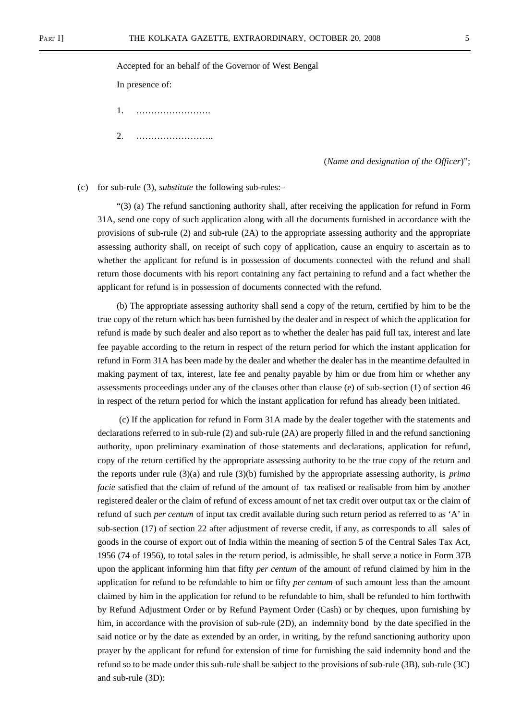#### Accepted for an behalf of the Governor of West Bengal

In presence of:

- 1. …………………….
- 2. ……………………..

(*Name and designation of the Officer*)";

(c) for sub-rule (3), *substitute* the following sub-rules:–

"(3) (a) The refund sanctioning authority shall, after receiving the application for refund in Form 31A, send one copy of such application along with all the documents furnished in accordance with the provisions of sub-rule (2) and sub-rule (2A) to the appropriate assessing authority and the appropriate assessing authority shall, on receipt of such copy of application, cause an enquiry to ascertain as to whether the applicant for refund is in possession of documents connected with the refund and shall return those documents with his report containing any fact pertaining to refund and a fact whether the applicant for refund is in possession of documents connected with the refund.

(b) The appropriate assessing authority shall send a copy of the return, certified by him to be the true copy of the return which has been furnished by the dealer and in respect of which the application for refund is made by such dealer and also report as to whether the dealer has paid full tax, interest and late fee payable according to the return in respect of the return period for which the instant application for refund in Form 31A has been made by the dealer and whether the dealer has in the meantime defaulted in making payment of tax, interest, late fee and penalty payable by him or due from him or whether any assessments proceedings under any of the clauses other than clause (e) of sub-section (1) of section 46 in respect of the return period for which the instant application for refund has already been initiated.

 (c) If the application for refund in Form 31A made by the dealer together with the statements and declarations referred to in sub-rule (2) and sub-rule (2A) are properly filled in and the refund sanctioning authority, upon preliminary examination of those statements and declarations, application for refund, copy of the return certified by the appropriate assessing authority to be the true copy of the return and the reports under rule (3)(a) and rule (3)(b) furnished by the appropriate assessing authority, is *prima facie* satisfied that the claim of refund of the amount of tax realised or realisable from him by another registered dealer or the claim of refund of excess amount of net tax credit over output tax or the claim of refund of such *per centum* of input tax credit available during such return period as referred to as 'A' in sub-section (17) of section 22 after adjustment of reverse credit, if any, as corresponds to all sales of goods in the course of export out of India within the meaning of section 5 of the Central Sales Tax Act, 1956 (74 of 1956), to total sales in the return period, is admissible, he shall serve a notice in Form 37B upon the applicant informing him that fifty *per centum* of the amount of refund claimed by him in the application for refund to be refundable to him or fifty *per centum* of such amount less than the amount claimed by him in the application for refund to be refundable to him, shall be refunded to him forthwith by Refund Adjustment Order or by Refund Payment Order (Cash) or by cheques, upon furnishing by him, in accordance with the provision of sub-rule (2D), an indemnity bond by the date specified in the said notice or by the date as extended by an order, in writing, by the refund sanctioning authority upon prayer by the applicant for refund for extension of time for furnishing the said indemnity bond and the refund so to be made under this sub-rule shall be subject to the provisions of sub-rule (3B), sub-rule (3C) and sub-rule (3D):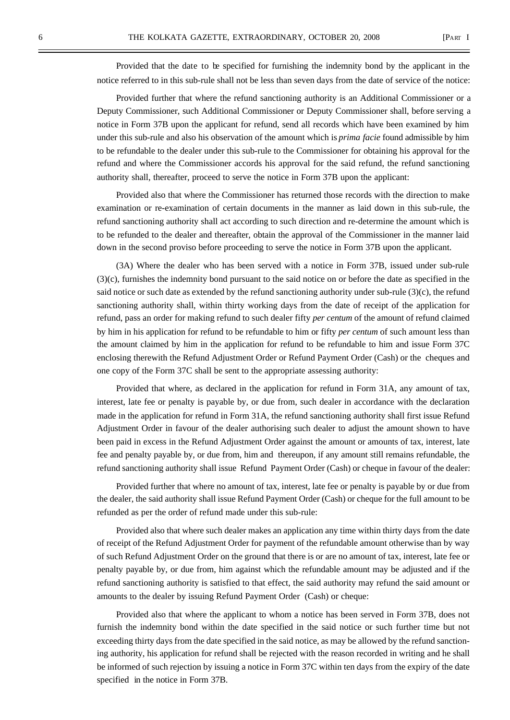Provided that the date to be specified for furnishing the indemnity bond by the applicant in the

Provided further that where the refund sanctioning authority is an Additional Commissioner or a Deputy Commissioner, such Additional Commissioner or Deputy Commissioner shall, before serving a notice in Form 37B upon the applicant for refund, send all records which have been examined by him under this sub-rule and also his observation of the amount which is *prima facie* found admissible by him to be refundable to the dealer under this sub-rule to the Commissioner for obtaining his approval for the refund and where the Commissioner accords his approval for the said refund, the refund sanctioning authority shall, thereafter, proceed to serve the notice in Form 37B upon the applicant:

notice referred to in this sub-rule shall not be less than seven days from the date of service of the notice:

Provided also that where the Commissioner has returned those records with the direction to make examination or re-examination of certain documents in the manner as laid down in this sub-rule, the refund sanctioning authority shall act according to such direction and re-determine the amount which is to be refunded to the dealer and thereafter, obtain the approval of the Commissioner in the manner laid down in the second proviso before proceeding to serve the notice in Form 37B upon the applicant.

(3A) Where the dealer who has been served with a notice in Form 37B, issued under sub-rule (3)(c), furnishes the indemnity bond pursuant to the said notice on or before the date as specified in the said notice or such date as extended by the refund sanctioning authority under sub-rule  $(3)(c)$ , the refund sanctioning authority shall, within thirty working days from the date of receipt of the application for refund, pass an order for making refund to such dealer fifty *per centum* of the amount of refund claimed by him in his application for refund to be refundable to him or fifty *per centum* of such amount less than the amount claimed by him in the application for refund to be refundable to him and issue Form 37C enclosing therewith the Refund Adjustment Order or Refund Payment Order (Cash) or the cheques and one copy of the Form 37C shall be sent to the appropriate assessing authority:

Provided that where, as declared in the application for refund in Form 31A, any amount of tax, interest, late fee or penalty is payable by, or due from, such dealer in accordance with the declaration made in the application for refund in Form 31A, the refund sanctioning authority shall first issue Refund Adjustment Order in favour of the dealer authorising such dealer to adjust the amount shown to have been paid in excess in the Refund Adjustment Order against the amount or amounts of tax, interest, late fee and penalty payable by, or due from, him and thereupon, if any amount still remains refundable, the refund sanctioning authority shall issue Refund Payment Order (Cash) or cheque in favour of the dealer:

Provided further that where no amount of tax, interest, late fee or penalty is payable by or due from the dealer, the said authority shall issue Refund Payment Order (Cash) or cheque for the full amount to be refunded as per the order of refund made under this sub-rule:

Provided also that where such dealer makes an application any time within thirty days from the date of receipt of the Refund Adjustment Order for payment of the refundable amount otherwise than by way of such Refund Adjustment Order on the ground that there is or are no amount of tax, interest, late fee or penalty payable by, or due from, him against which the refundable amount may be adjusted and if the refund sanctioning authority is satisfied to that effect, the said authority may refund the said amount or amounts to the dealer by issuing Refund Payment Order (Cash) or cheque:

Provided also that where the applicant to whom a notice has been served in Form 37B, does not furnish the indemnity bond within the date specified in the said notice or such further time but not exceeding thirty days from the date specified in the said notice, as may be allowed by the refund sanctioning authority, his application for refund shall be rejected with the reason recorded in writing and he shall be informed of such rejection by issuing a notice in Form 37C within ten days from the expiry of the date specified in the notice in Form 37B.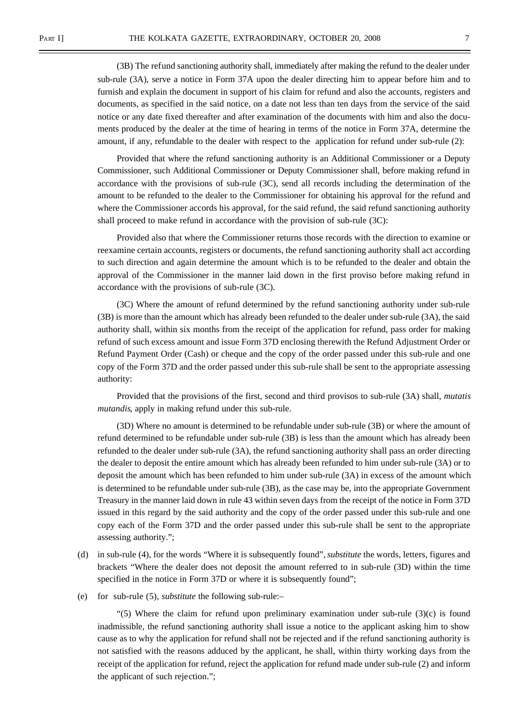(3B) The refund sanctioning authority shall, immediately after making the refund to the dealer under sub-rule (3A), serve a notice in Form 37A upon the dealer directing him to appear before him and to furnish and explain the document in support of his claim for refund and also the accounts, registers and documents, as specified in the said notice, on a date not less than ten days from the service of the said notice or any date fixed thereafter and after examination of the documents with him and also the documents produced by the dealer at the time of hearing in terms of the notice in Form 37A, determine the amount, if any, refundable to the dealer with respect to the application for refund under sub-rule (2):

Provided that where the refund sanctioning authority is an Additional Commissioner or a Deputy Commissioner, such Additional Commissioner or Deputy Commissioner shall, before making refund in accordance with the provisions of sub-rule (3C), send all records including the determination of the amount to be refunded to the dealer to the Commissioner for obtaining his approval for the refund and where the Commissioner accords his approval, for the said refund, the said refund sanctioning authority shall proceed to make refund in accordance with the provision of sub-rule (3C):

Provided also that where the Commissioner returns those records with the direction to examine or reexamine certain accounts, registers or documents, the refund sanctioning authority shall act according to such direction and again determine the amount which is to be refunded to the dealer and obtain the approval of the Commissioner in the manner laid down in the first proviso before making refund in accordance with the provisions of sub-rule (3C).

(3C) Where the amount of refund determined by the refund sanctioning authority under sub-rule (3B) is more than the amount which has already been refunded to the dealer under sub-rule (3A), the said authority shall, within six months from the receipt of the application for refund, pass order for making refund of such excess amount and issue Form 37D enclosing therewith the Refund Adjustment Order or Refund Payment Order (Cash) or cheque and the copy of the order passed under this sub-rule and one copy of the Form 37D and the order passed under this sub-rule shall be sent to the appropriate assessing authority:

Provided that the provisions of the first, second and third provisos to sub-rule (3A) shall, *mutatis mutandis*, apply in making refund under this sub-rule.

(3D) Where no amount is determined to be refundable under sub-rule (3B) or where the amount of refund determined to be refundable under sub-rule (3B) is less than the amount which has already been refunded to the dealer under sub-rule (3A), the refund sanctioning authority shall pass an order directing the dealer to deposit the entire amount which has already been refunded to him under sub-rule (3A) or to deposit the amount which has been refunded to him under sub-rule (3A) in excess of the amount which is determined to be refundable under sub-rule (3B), as the case may be, into the appropriate Government Treasury in the manner laid down in rule 43 within seven days from the receipt of the notice in Form 37D issued in this regard by the said authority and the copy of the order passed under this sub-rule and one copy each of the Form 37D and the order passed under this sub-rule shall be sent to the appropriate assessing authority.";

- (d) in sub-rule (4), for the words "Where it is subsequently found", *substitute* the words, letters, figures and brackets "Where the dealer does not deposit the amount referred to in sub-rule (3D) within the time specified in the notice in Form 37D or where it is subsequently found";
- (e) for sub-rule (5), *substitute* the following sub-rule:–

 $(5)$  Where the claim for refund upon preliminary examination under sub-rule  $(3)(c)$  is found inadmissible, the refund sanctioning authority shall issue a notice to the applicant asking him to show cause as to why the application for refund shall not be rejected and if the refund sanctioning authority is not satisfied with the reasons adduced by the applicant, he shall, within thirty working days from the receipt of the application for refund, reject the application for refund made under sub-rule (2) and inform the applicant of such rejection.";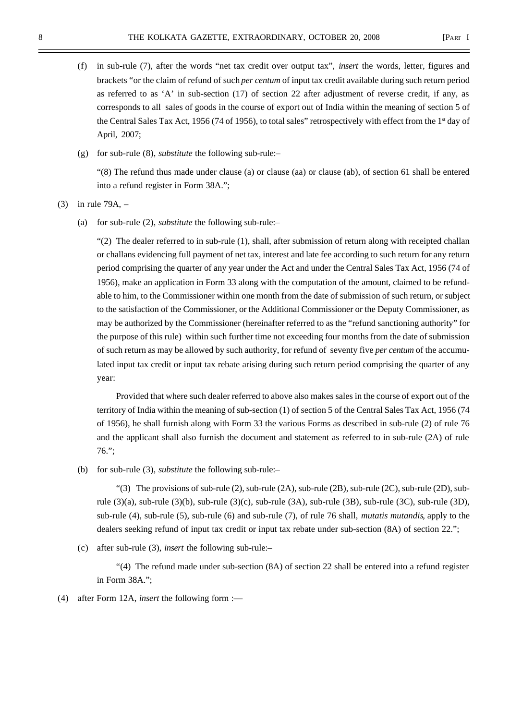- (f) in sub-rule (7), after the words "net tax credit over output tax", *insert* the words, letter, figures and brackets "or the claim of refund of such *per centum* of input tax credit available during such return period as referred to as 'A' in sub-section (17) of section 22 after adjustment of reverse credit, if any, as corresponds to all sales of goods in the course of export out of India within the meaning of section 5 of the Central Sales Tax Act, 1956 (74 of 1956), to total sales" retrospectively with effect from the  $1<sup>st</sup>$  day of April, 2007;
- (g) for sub-rule (8), *substitute* the following sub-rule:–

"(8) The refund thus made under clause (a) or clause (aa) or clause (ab), of section 61 shall be entered into a refund register in Form 38A.";

(3) in rule 79A, –

(a) for sub-rule (2), *substitute* the following sub-rule:–

 $(2)$  The dealer referred to in sub-rule  $(1)$ , shall, after submission of return along with receipted challan or challans evidencing full payment of net tax, interest and late fee according to such return for any return period comprising the quarter of any year under the Act and under the Central Sales Tax Act, 1956 (74 of 1956), make an application in Form 33 along with the computation of the amount, claimed to be refundable to him, to the Commissioner within one month from the date of submission of such return, or subject to the satisfaction of the Commissioner, or the Additional Commissioner or the Deputy Commissioner, as may be authorized by the Commissioner (hereinafter referred to as the "refund sanctioning authority" for the purpose of this rule) within such further time not exceeding four months from the date of submission of such return as may be allowed by such authority, for refund of seventy five *per centum* of the accumulated input tax credit or input tax rebate arising during such return period comprising the quarter of any year:

Provided that where such dealer referred to above also makes sales in the course of export out of the territory of India within the meaning of sub-section (1) of section 5 of the Central Sales Tax Act, 1956 (74 of 1956), he shall furnish along with Form 33 the various Forms as described in sub-rule (2) of rule 76 and the applicant shall also furnish the document and statement as referred to in sub-rule (2A) of rule 76.";

(b) for sub-rule (3), *substitute* the following sub-rule:–

"(3) The provisions of sub-rule (2), sub-rule (2A), sub-rule (2B), sub-rule (2C), sub-rule (2D), subrule (3)(a), sub-rule (3)(b), sub-rule (3)(c), sub-rule (3A), sub-rule (3B), sub-rule (3C), sub-rule (3D), sub-rule (4), sub-rule (5), sub-rule (6) and sub-rule (7), of rule 76 shall, *mutatis mutandis*, apply to the dealers seeking refund of input tax credit or input tax rebate under sub-section (8A) of section 22.";

(c) after sub-rule (3), *insert* the following sub-rule:–

"(4) The refund made under sub-section (8A) of section 22 shall be entered into a refund register in Form 38A.";

(4) after Form 12A, *insert* the following form :—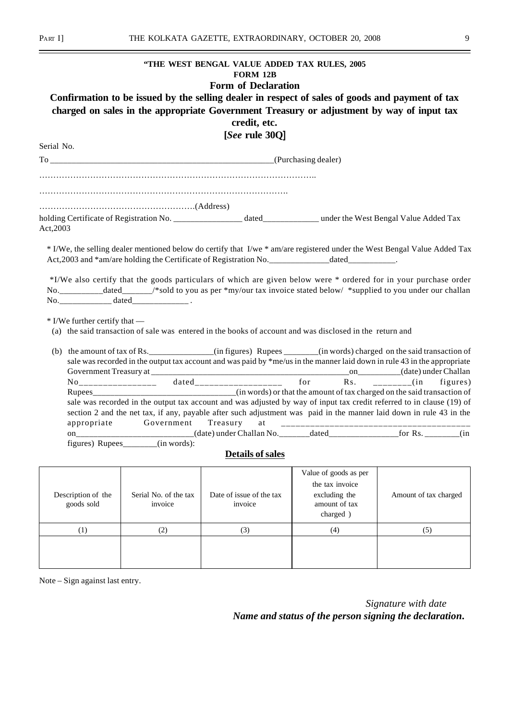Serial No.

## **"THE WEST BENGAL VALUE ADDED TAX RULES, 2005 FORM 12B**

# **Form of Declaration**

# **Confirmation to be issued by the selling dealer in respect of sales of goods and payment of tax charged on sales in the appropriate Government Treasury or adjustment by way of input tax credit, etc.**

**[***See* **rule 30Q]**

To \_\_\_\_\_\_\_\_\_\_\_\_\_\_\_\_\_\_\_\_\_\_\_\_\_\_\_\_\_\_\_\_\_\_\_\_\_\_\_\_\_\_\_\_\_\_\_\_\_\_\_\_(Purchasing dealer)

…………………………………………………………………………….

……………………………………………….(Address)

holding Certificate of Registration No. \_\_\_\_\_\_\_\_\_\_\_\_\_\_\_\_\_\_\_\_\_ dated\_\_\_\_\_\_\_\_\_\_\_\_\_\_\_ under the West Bengal Value Added Tax Act,2003

\* I/We, the selling dealer mentioned below do certify that I/we \* am/are registered under the West Bengal Value Added Tax Act,2003 and  $*$ am/are holding the Certificate of Registration No.\_\_\_\_\_\_\_\_\_\_\_\_\_\_\_\_dated\_

 \*I/We also certify that the goods particulars of which are given below were \* ordered for in your purchase order No.\_\_\_\_\_\_\_\_\_\_dated\_\_\_\_\_\_/\*sold to you as per \*my/our tax invoice stated below/ \*supplied to you under our challan No.\_\_\_\_\_\_\_\_\_\_\_\_ dated\_\_\_\_\_\_\_\_\_\_\_\_\_ .

\* I/We further certify that —

(a) the said transaction of sale was entered in the books of account and was disclosed in the return and

|                                   | (b) the amount of tax of Rs. _____________(in figures) Rupees ______(in words) charged on the said transaction of        |       |  |                                     |  |
|-----------------------------------|--------------------------------------------------------------------------------------------------------------------------|-------|--|-------------------------------------|--|
|                                   | sale was recorded in the output tax account and was paid by *me/us in the manner laid down in rule 43 in the appropriate |       |  |                                     |  |
|                                   | Government Treasury at ______________                                                                                    |       |  | _on_________(date) under Challan    |  |
|                                   |                                                                                                                          | dated |  | for $\text{Rs.}$ ______(in figures) |  |
|                                   |                                                                                                                          |       |  |                                     |  |
|                                   | sale was recorded in the output tax account and was adjusted by way of input tax credit referred to in clause (19) of    |       |  |                                     |  |
|                                   | section 2 and the net tax, if any, payable after such adjustment was paid in the manner laid down in rule 43 in the      |       |  |                                     |  |
|                                   |                                                                                                                          |       |  |                                     |  |
|                                   |                                                                                                                          |       |  |                                     |  |
| figures) Rupees_______(in words): |                                                                                                                          |       |  |                                     |  |

# **Details of sales**

| Description of the<br>goods sold | Serial No. of the tax<br>invoice | Date of issue of the tax<br>invoice | Value of goods as per<br>the tax invoice<br>excluding the<br>amount of tax<br>charged) | Amount of tax charged |
|----------------------------------|----------------------------------|-------------------------------------|----------------------------------------------------------------------------------------|-----------------------|
|                                  | (2)                              | (3)                                 | (4)                                                                                    | (5)                   |
|                                  |                                  |                                     |                                                                                        |                       |

Note – Sign against last entry.

*Signature with date Name and status of the person signing the declaration***.**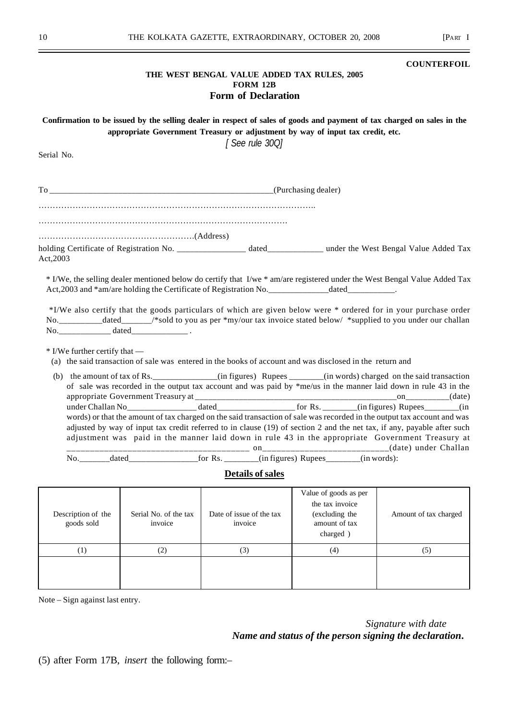#### **COUNTERFOIL**

## **THE WEST BENGAL VALUE ADDED TAX RULES, 2005 FORM 12B Form of Declaration**

| Confirmation to be issued by the selling dealer in respect of sales of goods and payment of tax charged on sales in the |  |
|-------------------------------------------------------------------------------------------------------------------------|--|
| appropriate Government Treasury or adjustment by way of input tax credit, etc.                                          |  |
|                                                                                                                         |  |

*[ See rule 30Q]*

Serial No.

| Act, 2003                       |                                                                                                                                                                                                                                                                                                                                                                                                                                                                                                                                                                                                                                                                                                                            |                         |  |  |
|---------------------------------|----------------------------------------------------------------------------------------------------------------------------------------------------------------------------------------------------------------------------------------------------------------------------------------------------------------------------------------------------------------------------------------------------------------------------------------------------------------------------------------------------------------------------------------------------------------------------------------------------------------------------------------------------------------------------------------------------------------------------|-------------------------|--|--|
| $*$ I/We further certify that — | * I/We, the selling dealer mentioned below do certify that I/we * am/are registered under the West Bengal Value Added Tax<br>Act, 2003 and *am/are holding the Certificate of Registration No. _________________________________.<br>*I/We also certify that the goods particulars of which are given below were * ordered for in your purchase order<br>No. ______________dated_______/*sold to you as per *my/our tax invoice stated below/ *supplied to you under our challan                                                                                                                                                                                                                                           |                         |  |  |
|                                 | (a) the said transaction of sale was entered in the books of account and was disclosed in the return and                                                                                                                                                                                                                                                                                                                                                                                                                                                                                                                                                                                                                   |                         |  |  |
|                                 | (b) the amount of tax of Rs. _____________(in figures) Rupees ______(in words) charged on the said transaction<br>of sale was recorded in the output tax account and was paid by *me/us in the manner laid down in rule 43 in the<br>under Challan No <sub>__________________</sub> dated_________________________ for Rs. ________(in figures) Rupees_______(in<br>words) or that the amount of tax charged on the said transaction of sale was recorded in the output tax account and was<br>adjusted by way of input tax credit referred to in clause (19) of section 2 and the net tax, if any, payable after such<br>adjustment was paid in the manner laid down in rule 43 in the appropriate Government Treasury at |                         |  |  |
|                                 | No. _______dated___________________for Rs. ________(in figures) Rupees_______(in words):                                                                                                                                                                                                                                                                                                                                                                                                                                                                                                                                                                                                                                   |                         |  |  |
|                                 |                                                                                                                                                                                                                                                                                                                                                                                                                                                                                                                                                                                                                                                                                                                            | <b>Details of sales</b> |  |  |

**Details of sales**

| Description of the<br>goods sold | Serial No. of the tax<br>invoice | Date of issue of the tax<br>invoice | Value of goods as per<br>the tax invoice<br>(excluding the<br>amount of tax<br>charged) | Amount of tax charged |
|----------------------------------|----------------------------------|-------------------------------------|-----------------------------------------------------------------------------------------|-----------------------|
| 11                               | (2)                              | (3)                                 | (4)                                                                                     | (5)                   |
|                                  |                                  |                                     |                                                                                         |                       |

Note – Sign against last entry.

*Signature with date Name and status of the person signing the declaration***.**

(5) after Form 17B, *insert* the following form:–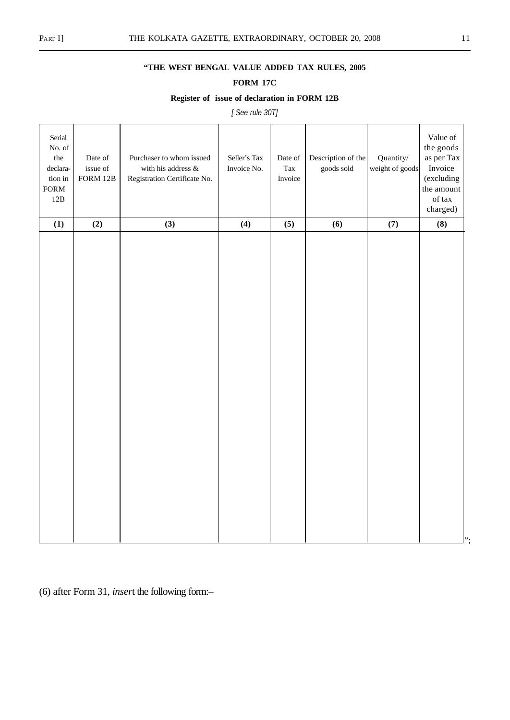# **"THE WEST BENGAL VALUE ADDED TAX RULES, 2005**

# **FORM 17C**

# **Register of issue of declaration in FORM 12B**

*[ See rule 30T]*

| Serial<br>No. of $\,$<br>the<br>declara-<br>tion in<br>${\tt FORM}$<br>$12B$ | Date of<br>issue of<br>FORM 12B | Purchaser to whom issued<br>with his address $\&$<br>Registration Certificate No. | Seller's Tax<br>Invoice No. | Date of<br>$\operatorname{Tax}$<br>Invoice | Description of the<br>goods sold | Quantity/<br>weight of goods | Value of<br>the goods<br>as per Tax<br>Invoice<br>(excluding<br>the amount<br>of tax<br>charged) |
|------------------------------------------------------------------------------|---------------------------------|-----------------------------------------------------------------------------------|-----------------------------|--------------------------------------------|----------------------------------|------------------------------|--------------------------------------------------------------------------------------------------|
| (1)                                                                          | (2)                             | (3)                                                                               | (4)                         | (5)                                        | (6)                              | (7)                          | (8)                                                                                              |
|                                                                              |                                 |                                                                                   |                             |                                            |                                  |                              | ".                                                                                               |

(6) after Form 31, *inser*t the following form:–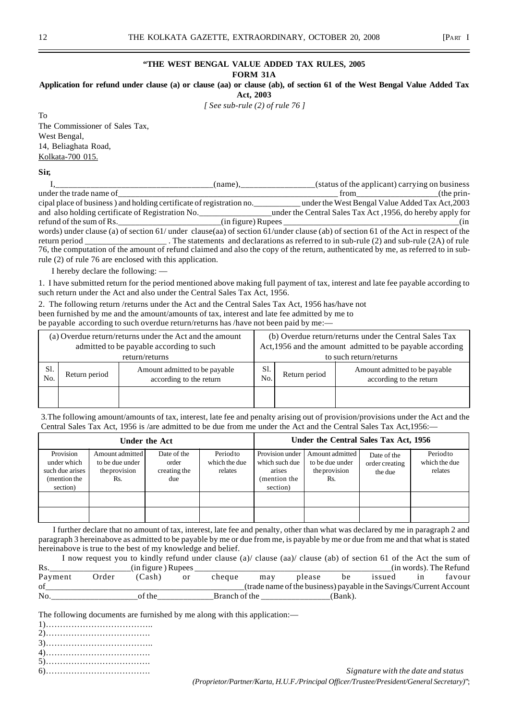## **"THE WEST BENGAL VALUE ADDED TAX RULES, 2005**

**FORM 31A**

**Application for refund under clause (a) or clause (aa) or clause (ab), of section 61 of the West Bengal Value Added Tax**

**Act, 2003**

*[ See sub-rule (2) of rule 76 ]*

To The Commissioner of Sales Tax, West Bengal, 14, Beliaghata Road, Kolkata-700 015.

#### **Sir,**

|                                                                                                                                    | (name). | (status of the applicant) carrying on business                                                                                                                                                                                 |               |
|------------------------------------------------------------------------------------------------------------------------------------|---------|--------------------------------------------------------------------------------------------------------------------------------------------------------------------------------------------------------------------------------|---------------|
| under the trade name of                                                                                                            |         | from the contract of the contract of the contract of the contract of the contract of the contract of the contract of the contract of the contract of the contract of the contract of the contract of the contract of the contr | $($ the prin- |
| cipal place of business) and holding certificate of registration no.                                                               |         | under the West Bengal Value Added Tax Act, 2003                                                                                                                                                                                |               |
| and also holding certificate of Registration No.                                                                                   |         | under the Central Sales Tax Act, 1956, do hereby apply for                                                                                                                                                                     |               |
| $\mathbf{r}$ efund of the sum of Rs.                                                                                               |         |                                                                                                                                                                                                                                | (in           |
| words) under clause (a) of section 61/ under clause(aa) of section 61/under clause (ab) of section 61 of the Act in respect of the |         |                                                                                                                                                                                                                                |               |
| return period ______________________. The statements and declarations as referred to in sub-rule (2) and sub-rule (2A) of rule     |         |                                                                                                                                                                                                                                |               |
| 76, the computation of the amount of refund claimed and also the copy of the return, authenticated by me, as referred to in sub-   |         |                                                                                                                                                                                                                                |               |
| rule (2) of rule 76 are enclosed with this application.                                                                            |         |                                                                                                                                                                                                                                |               |

I hereby declare the following: —

1. I have submitted return for the period mentioned above making full payment of tax, interest and late fee payable according to such return under the Act and also under the Central Sales Tax Act, 1956.

2. The following return /returns under the Act and the Central Sales Tax Act, 1956 has/have not been furnished by me and the amount/amounts of tax, interest and late fee admitted by me to be payable according to such overdue return/returns has /have not been paid by me:—

| (a) Overdue return/returns under the Act and the amount<br>admitted to be payable according to such |               |                                                          |  | (b) Overdue return/returns under the Central Sales Tax<br>Act, 1956 and the amount admitted to be payable according |                                                          |  |  |
|-----------------------------------------------------------------------------------------------------|---------------|----------------------------------------------------------|--|---------------------------------------------------------------------------------------------------------------------|----------------------------------------------------------|--|--|
| return/returns                                                                                      |               |                                                          |  |                                                                                                                     | to such return/returns                                   |  |  |
| Sl.<br>No.                                                                                          | Return period | Amount admitted to be payable<br>according to the return |  | Return period                                                                                                       | Amount admitted to be payable<br>according to the return |  |  |
|                                                                                                     |               |                                                          |  |                                                                                                                     |                                                          |  |  |

3.The following amount/amounts of tax, interest, late fee and penalty arising out of provision/provisions under the Act and the Central Sales Tax Act, 1956 is /are admitted to be due from me under the Act and the Central Sales Tax Act,1956:—

|                                                                         |                                                            | Under the Act                               |                                      | Under the Central Sales Tax Act, 1956                                   |                                                            |                                          |                                      |
|-------------------------------------------------------------------------|------------------------------------------------------------|---------------------------------------------|--------------------------------------|-------------------------------------------------------------------------|------------------------------------------------------------|------------------------------------------|--------------------------------------|
| Provision<br>under which<br>such due arises<br>(mention the<br>section) | Amount admitted<br>to be due under<br>the provision<br>Rs. | Date of the<br>order<br>creating the<br>due | Periodto<br>which the due<br>relates | Provision under<br>which such due<br>arises<br>(mention the<br>section) | Amount admitted<br>to be due under<br>the provision<br>Rs. | Date of the<br>order creating<br>the due | Periodto<br>which the due<br>relates |
|                                                                         |                                                            |                                             |                                      |                                                                         |                                                            |                                          |                                      |
|                                                                         |                                                            |                                             |                                      |                                                                         |                                                            |                                          |                                      |

 I further declare that no amount of tax, interest, late fee and penalty, other than what was declared by me in paragraph 2 and paragraph 3 hereinabove as admitted to be payable by me or due from me, is payable by me or due from me and that what is stated hereinabove is true to the best of my knowledge and belief.

|         | I now request you to kindly refund under clause (a)/ clause (aa)/ clause (ab) of section 61 of the Act the sum of |                    |    |               |     |                                                                     |         |        |    |                        |
|---------|-------------------------------------------------------------------------------------------------------------------|--------------------|----|---------------|-----|---------------------------------------------------------------------|---------|--------|----|------------------------|
| Rs.     |                                                                                                                   | (in figure) Rupees |    |               |     |                                                                     |         |        |    | (in words). The Refund |
| Payment | Order                                                                                                             | (Cash)             | or | cheque        | may | please                                                              | be      | issued | 1n | favour                 |
| of      |                                                                                                                   |                    |    |               |     | (trade name of the business) payable in the Savings/Current Account |         |        |    |                        |
| No.     |                                                                                                                   | of the             |    | Branch of the |     |                                                                     | (Bank). |        |    |                        |

The following documents are furnished by me along with this application:—

- 1)………………………………..
- 2)……………………………….
- 3)……………………………….. 4)……………………………….
- 5)……………………………….
- 

6)………………………………. *Signature with the date and status (Proprietor/Partner/Karta, H.U.F./Principal Officer/Trustee/President/General Secretary)*";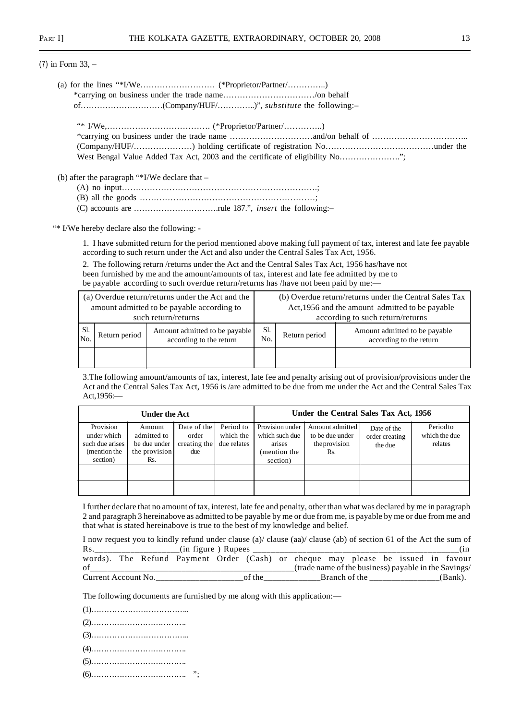(7) in Form 33, –

| ٩ |                    |
|---|--------------------|
| ш |                    |
|   | ۰.<br>I<br>×<br>۰. |

| West Bengal Value Added Tax Act, 2003 and the certificate of eligibility No |
|-----------------------------------------------------------------------------|

(b) after the paragraph "\*I/We declare that –

- (A) no input…………………………………………………………….;
- (B) all the goods ………………………………………………………;

(C) accounts are ………………………….rule 187.", *insert* the following:–

"\* I/We hereby declare also the following: -

1. I have submitted return for the period mentioned above making full payment of tax, interest and late fee payable according to such return under the Act and also under the Central Sales Tax Act, 1956.

2. The following return /returns under the Act and the Central Sales Tax Act, 1956 has/have not been furnished by me and the amount/amounts of tax, interest and late fee admitted by me to be payable according to such overdue return/returns has /have not been paid by me:—

|     |               | (a) Overdue return/returns under the Act and the         |                       | (b) Overdue return/returns under the Central Sales Tax |                                                           |  |  |
|-----|---------------|----------------------------------------------------------|-----------------------|--------------------------------------------------------|-----------------------------------------------------------|--|--|
|     |               | amount admitted to be payable according to               |                       |                                                        | Act, 1956 and the amount admitted to be payable           |  |  |
|     |               | such return/returns                                      |                       |                                                        | according to such return/returns                          |  |  |
| Sl. | Return period | Amount admitted to be payable<br>according to the return | Sl.<br>N <sub>O</sub> | Return period                                          | Amount admitted to be payable.<br>according to the return |  |  |
|     |               |                                                          |                       |                                                        |                                                           |  |  |

3.The following amount/amounts of tax, interest, late fee and penalty arising out of provision/provisions under the Act and the Central Sales Tax Act, 1956 is /are admitted to be due from me under the Act and the Central Sales Tax Act,1956:—

|                                                                         | <b>Under the Act</b>                                                                                         |  |                                       | Under the Central Sales Tax Act, 1956                                   |                                                                                                                                                |  |  |  |
|-------------------------------------------------------------------------|--------------------------------------------------------------------------------------------------------------|--|---------------------------------------|-------------------------------------------------------------------------|------------------------------------------------------------------------------------------------------------------------------------------------|--|--|--|
| Provision<br>under which<br>such due arises<br>(mention the<br>section) | Date of the<br>Amount<br>admitted to<br>order<br>be due under<br>creating the<br>the provision<br>due<br>Rs. |  | Period to<br>which the<br>due relates | Provision under<br>which such due<br>arises<br>(mention the<br>section) | Periodto<br>Amount admitted<br>Date of the<br>which the due<br>to be due under<br>order creating<br>the provision<br>relates<br>the due<br>Rs. |  |  |  |
|                                                                         |                                                                                                              |  |                                       |                                                                         |                                                                                                                                                |  |  |  |

I further declare that no amount of tax, interest, late fee and penalty, other than what was declared by me in paragraph 2 and paragraph 3 hereinabove as admitted to be payable by me or due from me, is payable by me or due from me and that what is stated hereinabove is true to the best of my knowledge and belief.

| I now request you to kindly refund under clause (a)/ clause (aa)/ clause (ab) of section 61 of the Act the sum of |  |  |                                                                                  |  |        |  |                                                      |  |                                                                                                                                                                                                                               |  |  |         |
|-------------------------------------------------------------------------------------------------------------------|--|--|----------------------------------------------------------------------------------|--|--------|--|------------------------------------------------------|--|-------------------------------------------------------------------------------------------------------------------------------------------------------------------------------------------------------------------------------|--|--|---------|
|                                                                                                                   |  |  |                                                                                  |  |        |  |                                                      |  |                                                                                                                                                                                                                               |  |  | (in     |
|                                                                                                                   |  |  | words). The Refund Payment Order (Cash) or cheque may please be issued in favour |  |        |  |                                                      |  |                                                                                                                                                                                                                               |  |  |         |
| of                                                                                                                |  |  |                                                                                  |  |        |  | (trade name of the business) payable in the Savings/ |  |                                                                                                                                                                                                                               |  |  |         |
| Current Account No.                                                                                               |  |  |                                                                                  |  | of the |  |                                                      |  | Branch of the state of the state of the state of the state of the state of the state of the state of the state of the state of the state of the state of the state of the state of the state of the state of the state of the |  |  | (Bank). |

The following documents are furnished by me along with this application:—

(1)……………………………….. (2)………………………………. (3)……………………………….. (4)………………………………. (5)………………………………. (6)………………………………. ";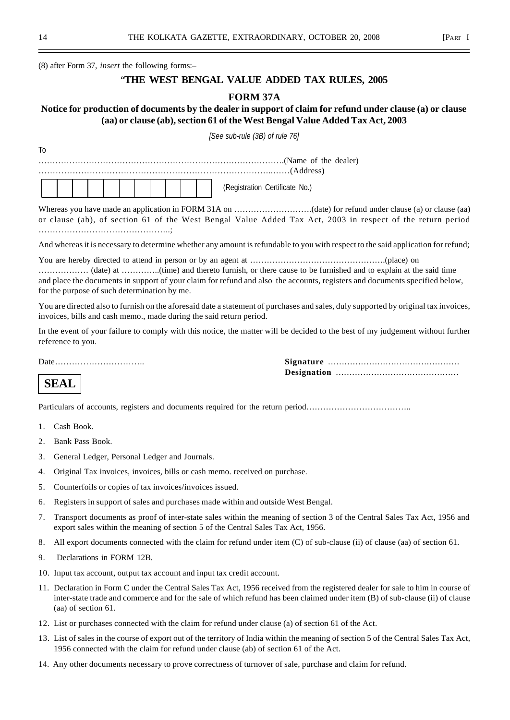(8) after Form 37, *insert* the following forms:–

# "**THE WEST BENGAL VALUE ADDED TAX RULES, 2005**

## **FORM 37A**

# **Notice for production of documents by the dealer in support of claim for refund under clause (a) or clause (aa) or clause (ab), section 61 of the West Bengal Value Added Tax Act, 2003**

*[See sub-rule (3B) of rule 76]*

To …………………………………………………………………………….(Name of the dealer) ………………………………………………………………………..……(Address) ┯ ┯ ┯ h

|  |  |  |  |  |  |  |  |  |  |  | Certificate<br>(Registration<br>NO., |  |
|--|--|--|--|--|--|--|--|--|--|--|--------------------------------------|--|
|--|--|--|--|--|--|--|--|--|--|--|--------------------------------------|--|

Whereas you have made an application in FORM 31A on ..............................(date) for refund under clause (a) or clause (aa) or clause (ab), of section 61 of the West Bengal Value Added Tax Act, 2003 in respect of the return period ………………………………………..;

And whereas it is necessary to determine whether any amount is refundable to you with respect to the said application for refund;

You are hereby directed to attend in person or by an agent at ………………………………………….(place) on ……………… (date) at …………..(time) and thereto furnish, or there cause to be furnished and to explain at the said time and place the documents in support of your claim for refund and also the accounts, registers and documents specified below, for the purpose of such determination by me.

You are directed also to furnish on the aforesaid date a statement of purchases and sales, duly supported by original tax invoices, invoices, bills and cash memo., made during the said return period.

In the event of your failure to comply with this notice, the matter will be decided to the best of my judgement without further reference to you.

Date………………………….. **Signature** ………………………………………… **Designation** ………………………………………

# **SEAL**

Particulars of accounts, registers and documents required for the return period………………………………..

- 1. Cash Book.
- 2. Bank Pass Book.
- 3. General Ledger, Personal Ledger and Journals.
- 4. Original Tax invoices, invoices, bills or cash memo. received on purchase.
- 5. Counterfoils or copies of tax invoices/invoices issued.
- 6. Registers in support of sales and purchases made within and outside West Bengal.
- 7. Transport documents as proof of inter-state sales within the meaning of section 3 of the Central Sales Tax Act, 1956 and export sales within the meaning of section 5 of the Central Sales Tax Act, 1956.
- 8. All export documents connected with the claim for refund under item (C) of sub-clause (ii) of clause (aa) of section 61.
- 9. Declarations in FORM 12B.
- 10. Input tax account, output tax account and input tax credit account.
- 11. Declaration in Form C under the Central Sales Tax Act, 1956 received from the registered dealer for sale to him in course of inter-state trade and commerce and for the sale of which refund has been claimed under item (B) of sub-clause (ii) of clause (aa) of section 61.
- 12. List or purchases connected with the claim for refund under clause (a) of section 61 of the Act.
- 13. List of sales in the course of export out of the territory of India within the meaning of section 5 of the Central Sales Tax Act, 1956 connected with the claim for refund under clause (ab) of section 61 of the Act.
- 14. Any other documents necessary to prove correctness of turnover of sale, purchase and claim for refund.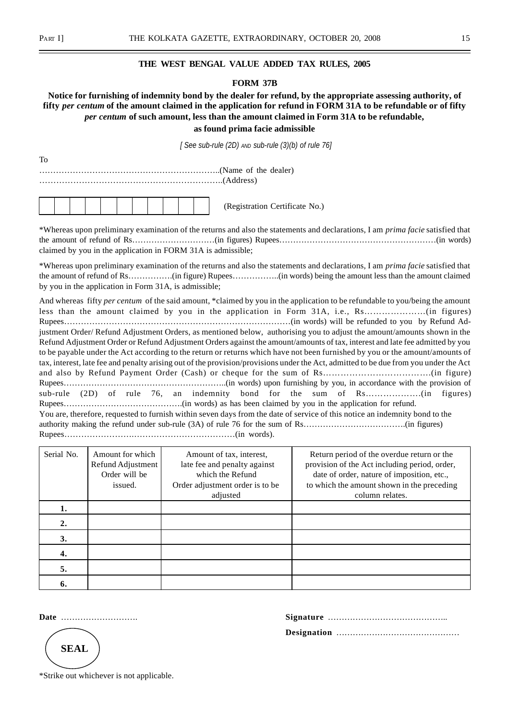To

## **THE WEST BENGAL VALUE ADDED TAX RULES, 2005**

## **FORM 37B**

# **Notice for furnishing of indemnity bond by the dealer for refund, by the appropriate assessing authority, of fifty** *per centum* **of the amount claimed in the application for refund in FORM 31A to be refundable or of fifty** *per centum* **of such amount, less than the amount claimed in Form 31A to be refundable, as found prima facie admissible**

 *[ See sub-rule (2D) AND sub-rule (3)(b) of rule 76]*

| . |  |
|---|--|
|   |  |
|   |  |
|   |  |

\*Whereas upon preliminary examination of the returns and also the statements and declarations, I am *prima facie* satisfied that the amount of refund of Rs…………………………(in figures) Rupees…………………………………………………(in words) claimed by you in the application in FORM 31A is admissible;

\*Whereas upon preliminary examination of the returns and also the statements and declarations, I am *prima facie* satisfied that the amount of refund of Rs…………….(in figure) Rupees……………..(in words) being the amount less than the amount claimed by you in the application in Form 31A, is admissible;

And whereas fifty *per centum* of the said amount, \*claimed by you in the application to be refundable to you/being the amount less than the amount claimed by you in the application in Form 31A, i.e., Rs…………………(in figures) Rupees………………………………………………………………………(in words) will be refunded to you by Refund Adjustment Order/ Refund Adjustment Orders, as mentioned below, authorising you to adjust the amount/amounts shown in the Refund Adjustment Order or Refund Adjustment Orders against the amount/amounts of tax, interest and late fee admitted by you to be payable under the Act according to the return or returns which have not been furnished by you or the amount/amounts of tax, interest, late fee and penalty arising out of the provision/provisions under the Act, admitted to be due from you under the Act and also by Refund Payment Order (Cash) or cheque for the sum of Rs……………………………….(in figure) Rupees…………………………………………………..(in words) upon furnishing by you, in accordance with the provision of sub-rule (2D) of rule 76, an indemnity bond for the sum of Rs……………….(in figures) Rupees…………………………………….(in words) as has been claimed by you in the application for refund. You are, therefore, requested to furnish within seven days from the date of service of this notice an indemnity bond to the authority making the refund under sub-rule (3A) of rule 76 for the sum of Rs……………………………….(in figures) Rupees…………………….………………………………(in words).

| Serial No. | Amount for which<br>Refund Adjustment<br>Order will be<br>issued. | Amount of tax, interest,<br>late fee and penalty against<br>which the Refund<br>Order adjustment order is to be<br>adjusted | Return period of the overdue return or the<br>provision of the Act including period, order,<br>date of order, nature of imposition, etc.,<br>to which the amount shown in the preceding<br>column relates. |
|------------|-------------------------------------------------------------------|-----------------------------------------------------------------------------------------------------------------------------|------------------------------------------------------------------------------------------------------------------------------------------------------------------------------------------------------------|
| 1.         |                                                                   |                                                                                                                             |                                                                                                                                                                                                            |
| 2.         |                                                                   |                                                                                                                             |                                                                                                                                                                                                            |
| 3.         |                                                                   |                                                                                                                             |                                                                                                                                                                                                            |
| 4.         |                                                                   |                                                                                                                             |                                                                                                                                                                                                            |
| 5.         |                                                                   |                                                                                                                             |                                                                                                                                                                                                            |
| 6.         |                                                                   |                                                                                                                             |                                                                                                                                                                                                            |

**Date** ………………………. **Signature** …………………………………….. **Designation** ………………………………………

**SEAL**

\*Strike out whichever is not applicable.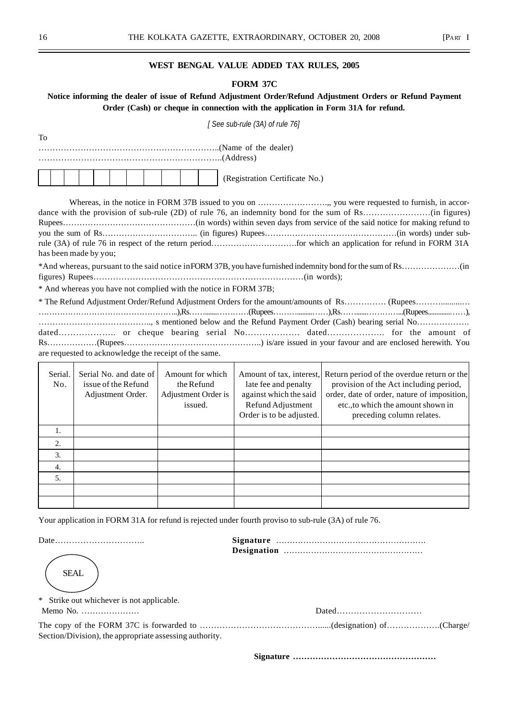## **WEST BENGAL VALUE ADDED TAX RULES, 2005**

#### **FORM 37C**

# **Notice informing the dealer of issue of Refund Adjustment Order/Refund Adjustment Orders or Refund Payment Order (Cash) or cheque in connection with the application in Form 31A for refund.**

|                |                                                                    |                                                                  | [See sub-rule (3A) of rule 76]                                                                                              |                                                                                                                                                                                                        |
|----------------|--------------------------------------------------------------------|------------------------------------------------------------------|-----------------------------------------------------------------------------------------------------------------------------|--------------------------------------------------------------------------------------------------------------------------------------------------------------------------------------------------------|
| To             |                                                                    |                                                                  |                                                                                                                             |                                                                                                                                                                                                        |
|                |                                                                    |                                                                  |                                                                                                                             |                                                                                                                                                                                                        |
|                |                                                                    |                                                                  |                                                                                                                             |                                                                                                                                                                                                        |
|                |                                                                    |                                                                  | (Registration Certificate No.)                                                                                              |                                                                                                                                                                                                        |
|                | has been made by you;                                              |                                                                  |                                                                                                                             |                                                                                                                                                                                                        |
|                |                                                                    |                                                                  |                                                                                                                             |                                                                                                                                                                                                        |
|                | * And whereas you have not complied with the notice in FORM 37B;   |                                                                  |                                                                                                                             |                                                                                                                                                                                                        |
|                |                                                                    |                                                                  |                                                                                                                             |                                                                                                                                                                                                        |
|                | are requested to acknowledge the receipt of the same.              |                                                                  |                                                                                                                             |                                                                                                                                                                                                        |
| Serial.<br>No. | Serial No. and date of<br>issue of the Refund<br>Adjustment Order. | Amount for which<br>the Refund<br>Adjustment Order is<br>issued. | Amount of tax, interest,<br>late fee and penalty<br>against which the said<br>Refund Adjustment<br>Order is to be adjusted. | Return period of the overdue return or the<br>provision of the Act including period,<br>order, date of order, nature of imposition,<br>etc., to which the amount shown in<br>preceding column relates. |
| 1.             |                                                                    |                                                                  |                                                                                                                             |                                                                                                                                                                                                        |
| 2.             |                                                                    |                                                                  |                                                                                                                             |                                                                                                                                                                                                        |
| 3.             |                                                                    |                                                                  |                                                                                                                             |                                                                                                                                                                                                        |
| 4.             |                                                                    |                                                                  |                                                                                                                             |                                                                                                                                                                                                        |
| 5.             |                                                                    |                                                                  |                                                                                                                             |                                                                                                                                                                                                        |
|                |                                                                    |                                                                  |                                                                                                                             |                                                                                                                                                                                                        |

Your application in FORM 31A for refund is rejected under fourth proviso to sub-rule (3A) of rule 76.

**SEAL** 

Date………………………….. **Signature** ………………………………………………. **Designation** ……………………………………………

\* Strike out whichever is not applicable.

Memo No. ………………… Dated…………………………

The copy of the FORM 37C is forwarded to ……………………………………......(designation) of……………….(Charge/ Section/Division), the appropriate assessing authority.

**Signature ……………………………………………**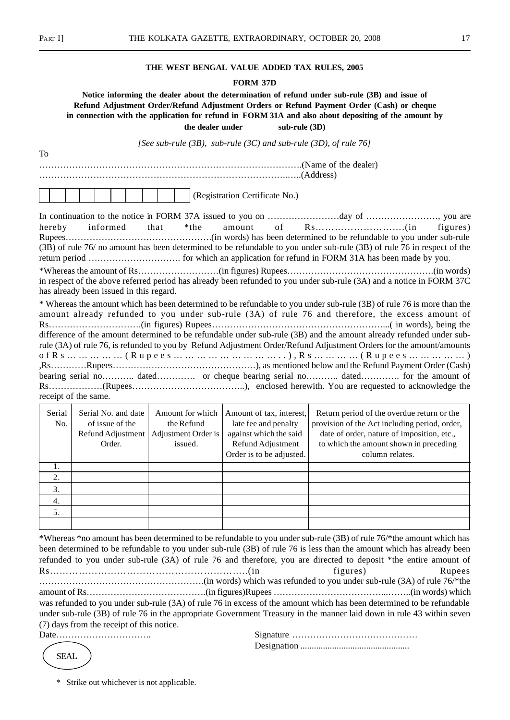To

#### **THE WEST BENGAL VALUE ADDED TAX RULES, 2005**

#### **FORM 37D**

**Notice informing the dealer about the determination of refund under sub-rule (3B) and issue of Refund Adjustment Order/Refund Adjustment Orders or Refund Payment Order (Cash) or cheque in connection with the application for refund in FORM 31A and also about depositing of the amount by the dealer under sub-rule (3D)**

*[See sub-rule (3B), sub-rule (3C) and sub-rule (3D), of rule 76]*

…………………………………………………………………………….(Name of the dealer) ………………………………………………………………………..…..(Address)

|  |  |  |  |  | (Registration Certificate No.) |
|--|--|--|--|--|--------------------------------|
|  |  |  |  |  |                                |

|                                         |  |  | (3B) of rule 76/ no amount has been determined to be refundable to you under sub-rule (3B) of rule 76 in respect of the |  |
|-----------------------------------------|--|--|-------------------------------------------------------------------------------------------------------------------------|--|
|                                         |  |  |                                                                                                                         |  |
|                                         |  |  |                                                                                                                         |  |
|                                         |  |  | in respect of the above referred period has already been refunded to you under sub-rule (3A) and a notice in FORM 37C   |  |
| has already been issued in this regard. |  |  |                                                                                                                         |  |
|                                         |  |  | * Whereas the amount which has been determined to be refundable to you under sub-rule (3B) of rule 76 is more than the  |  |

amount already refunded to you under sub-rule (3A) of rule 76 and therefore, the excess amount of Rs………………………….(in figures) Rupees…………………………………………………...( in words), being the difference of the amount determined to be refundable under sub-rule (3B) and the amount already refunded under subrule (3A) of rule 76, is refunded to you by Refund Adjustment Order/Refund Adjustment Orders for the amount/amounts ofRs……………(Rupees………………………..),Rs…………(Rupees……………) ,Rs…………Rupees…………………………………………), as mentioned below and the Refund Payment Order (Cash) bearing serial no……….. dated…………. or cheque bearing serial no……….. dated…………. for the amount of Rs………………(Rupees………………………………..), enclosed herewith. You are requested to acknowledge the receipt of the same.

| Serial<br>No. | Serial No. and date<br>of issue of the<br>Refund Adjustment<br>Order. | Amount for which<br>the Refund<br>Adjustment Order is<br>issued. | Amount of tax, interest,<br>late fee and penalty<br>against which the said<br>Refund Adjustment<br>Order is to be adjusted. | Return period of the overdue return or the<br>provision of the Act including period, order,<br>date of order, nature of imposition, etc.,<br>to which the amount shown in preceding<br>column relates. |
|---------------|-----------------------------------------------------------------------|------------------------------------------------------------------|-----------------------------------------------------------------------------------------------------------------------------|--------------------------------------------------------------------------------------------------------------------------------------------------------------------------------------------------------|
|               |                                                                       |                                                                  |                                                                                                                             |                                                                                                                                                                                                        |
| 2.            |                                                                       |                                                                  |                                                                                                                             |                                                                                                                                                                                                        |
| 3.            |                                                                       |                                                                  |                                                                                                                             |                                                                                                                                                                                                        |
| 4.            |                                                                       |                                                                  |                                                                                                                             |                                                                                                                                                                                                        |
| 5.            |                                                                       |                                                                  |                                                                                                                             |                                                                                                                                                                                                        |
|               |                                                                       |                                                                  |                                                                                                                             |                                                                                                                                                                                                        |

\*Whereas \*no amount has been determined to be refundable to you under sub-rule (3B) of rule 76/\*the amount which has been determined to be refundable to you under sub-rule (3B) of rule 76 is less than the amount which has already been refunded to you under sub-rule (3A) of rule 76 and therefore, you are directed to deposit \*the entire amount of Rs……………………………………………………..(in figures) Rupees ……………………………………………….(in words) which was refunded to you under sub-rule (3A) of rule 76/\*the amount of Rs………………………………….(in figures)Rupees ………………………………...……..(in words) which was refunded to you under sub-rule (3A) of rule 76 in excess of the amount which has been determined to be refundable under sub-rule (3B) of rule 76 in the appropriate Government Treasury in the manner laid down in rule 43 within seven (7) days from the receipt of this notice.

Date………………………….. Signature …………………………………… Designation ................................................

**SEAL** 

\* Strike out whichever is not applicable.